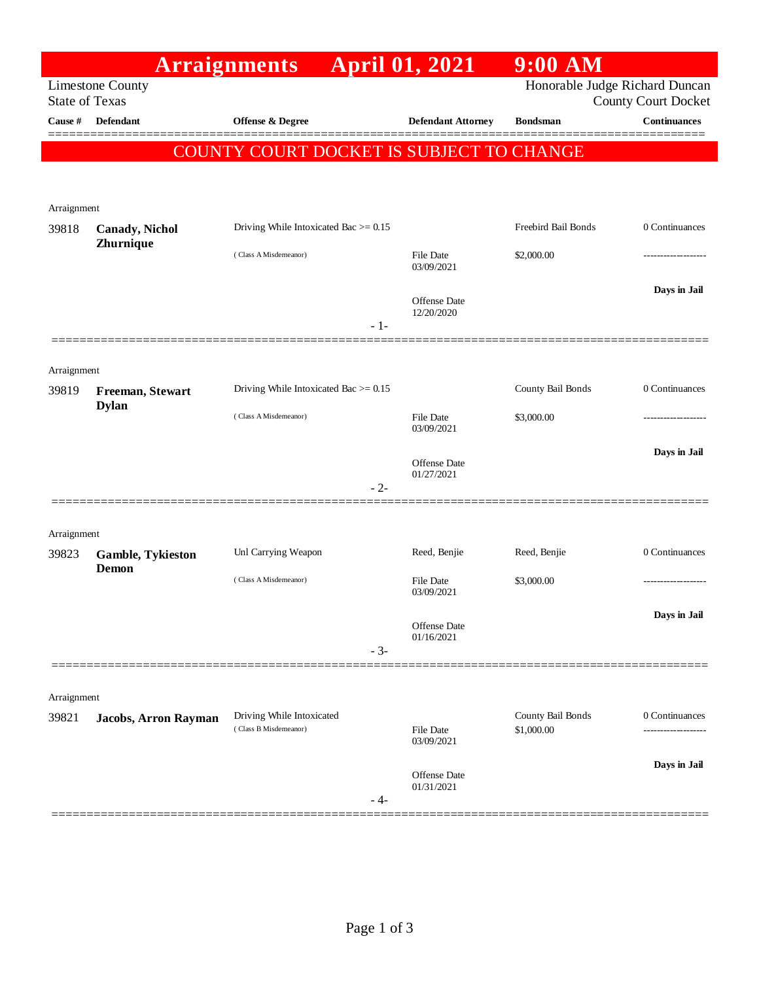|                                                                                                                  | <b>Arraignments</b>                      |                                                    | <b>April 01, 2021</b>      | $9:00$ AM           |                     |
|------------------------------------------------------------------------------------------------------------------|------------------------------------------|----------------------------------------------------|----------------------------|---------------------|---------------------|
| Honorable Judge Richard Duncan<br><b>Limestone County</b><br><b>State of Texas</b><br><b>County Court Docket</b> |                                          |                                                    |                            |                     |                     |
| Cause #                                                                                                          | <b>Defendant</b>                         | Offense & Degree                                   | <b>Defendant Attorney</b>  | <b>Bondsman</b>     | <b>Continuances</b> |
|                                                                                                                  |                                          | COUNTY COURT DOCKET IS SUBJECT TO CHANGE           |                            |                     |                     |
|                                                                                                                  |                                          |                                                    |                            |                     |                     |
|                                                                                                                  |                                          |                                                    |                            |                     |                     |
| Arraignment                                                                                                      |                                          | Driving While Intoxicated Bac $\geq$ 0.15          |                            | Freebird Bail Bonds | 0 Continuances      |
| 39818                                                                                                            | <b>Canady</b> , Nichol<br>Zhurnique      |                                                    |                            |                     |                     |
|                                                                                                                  |                                          | (Class A Misdemeanor)                              | File Date<br>03/09/2021    | \$2,000.00          | .                   |
|                                                                                                                  |                                          |                                                    |                            |                     | Days in Jail        |
|                                                                                                                  |                                          |                                                    | Offense Date<br>12/20/2020 |                     |                     |
|                                                                                                                  |                                          | $-1-$                                              |                            |                     |                     |
| Arraignment                                                                                                      |                                          |                                                    |                            |                     |                     |
| 39819                                                                                                            | Freeman, Stewart                         | Driving While Intoxicated Bac $>= 0.15$            |                            | County Bail Bonds   | 0 Continuances      |
|                                                                                                                  | <b>Dylan</b>                             | (Class A Misdemeanor)                              | File Date                  | \$3,000.00          |                     |
|                                                                                                                  |                                          |                                                    | 03/09/2021                 |                     |                     |
|                                                                                                                  |                                          |                                                    | Offense Date               |                     | Days in Jail        |
|                                                                                                                  |                                          | $-2-$                                              | 01/27/2021                 |                     |                     |
|                                                                                                                  |                                          |                                                    |                            |                     |                     |
| Arraignment                                                                                                      |                                          |                                                    |                            |                     |                     |
| 39823                                                                                                            | <b>Gamble, Tykieston</b><br><b>Demon</b> | Unl Carrying Weapon                                | Reed, Benjie               | Reed, Benjie        | 0 Continuances      |
|                                                                                                                  |                                          | (Class A Misdemeanor)                              | File Date<br>03/09/2021    | \$3,000.00          | .                   |
|                                                                                                                  |                                          |                                                    |                            |                     | Days in Jail        |
|                                                                                                                  |                                          |                                                    | Offense Date<br>01/16/2021 |                     |                     |
|                                                                                                                  |                                          | $-3-$                                              |                            |                     |                     |
|                                                                                                                  |                                          |                                                    |                            |                     |                     |
| Arraignment<br>39821                                                                                             | Jacobs, Arron Rayman                     | Driving While Intoxicated<br>(Class B Misdemeanor) |                            | County Bail Bonds   | 0 Continuances      |
|                                                                                                                  |                                          |                                                    | File Date<br>03/09/2021    | \$1,000.00          |                     |
|                                                                                                                  |                                          |                                                    |                            |                     | Days in Jail        |
|                                                                                                                  |                                          |                                                    | Offense Date<br>01/31/2021 |                     |                     |
|                                                                                                                  |                                          | - 4-                                               |                            |                     |                     |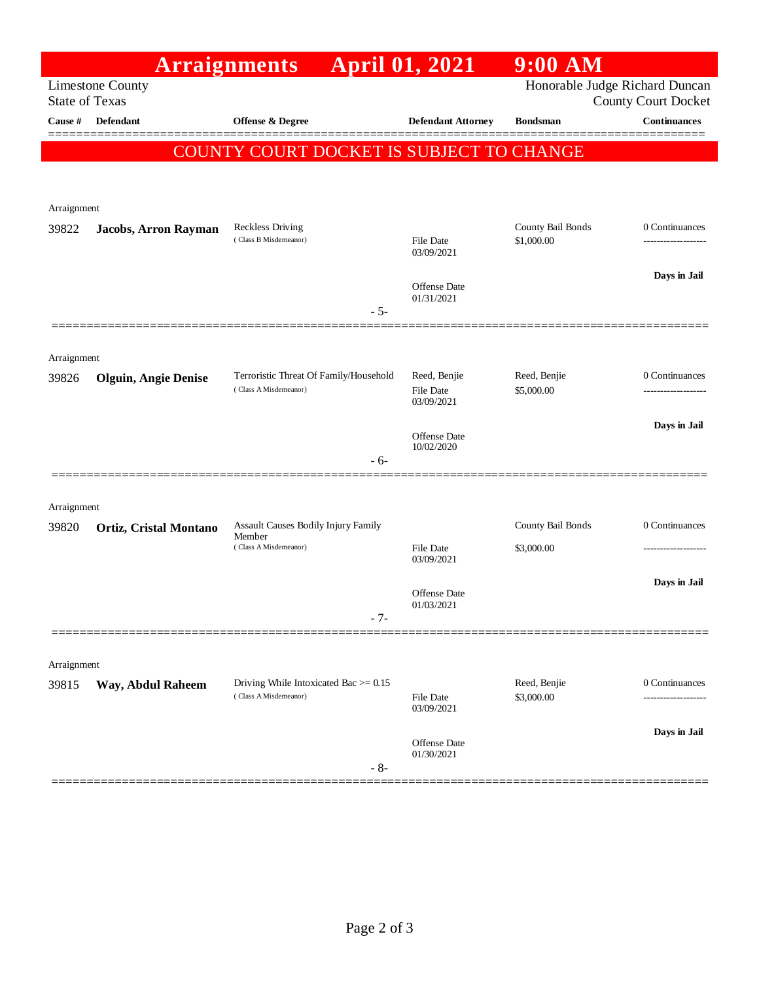|                                                                                                                  |                             | <b>Arraignments</b>                             | <b>April 01, 2021</b>          | $9:00$ AM         |                     |
|------------------------------------------------------------------------------------------------------------------|-----------------------------|-------------------------------------------------|--------------------------------|-------------------|---------------------|
| Honorable Judge Richard Duncan<br><b>Limestone County</b><br><b>State of Texas</b><br><b>County Court Docket</b> |                             |                                                 |                                |                   |                     |
| Cause #                                                                                                          | <b>Defendant</b>            | <b>Offense &amp; Degree</b>                     | <b>Defendant Attorney</b>      | <b>Bondsman</b>   | <b>Continuances</b> |
|                                                                                                                  |                             | <b>COUNTY COURT DOCKET IS SUBJECT TO CHANGE</b> |                                |                   |                     |
|                                                                                                                  |                             |                                                 |                                |                   |                     |
| Arraignment                                                                                                      |                             |                                                 |                                |                   |                     |
| 39822                                                                                                            | Jacobs, Arron Rayman        | <b>Reckless Driving</b>                         |                                | County Bail Bonds | 0 Continuances      |
|                                                                                                                  |                             | (Class B Misdemeanor)                           | File Date<br>03/09/2021        | \$1,000.00        |                     |
|                                                                                                                  |                             |                                                 | Offense Date                   |                   | Days in Jail        |
|                                                                                                                  |                             | $-5-$                                           | 01/31/2021                     |                   |                     |
|                                                                                                                  |                             |                                                 |                                |                   |                     |
| Arraignment                                                                                                      |                             |                                                 |                                |                   |                     |
| 39826                                                                                                            | <b>Olguin, Angie Denise</b> | Terroristic Threat Of Family/Household          | Reed, Benjie                   | Reed, Benjie      | 0 Continuances      |
|                                                                                                                  |                             | (Class A Misdemeanor)                           | <b>File Date</b><br>03/09/2021 | \$5,000.00        |                     |
|                                                                                                                  |                             |                                                 | Offense Date                   |                   | Days in Jail        |
|                                                                                                                  |                             | $-6-$                                           | 10/02/2020                     |                   |                     |
|                                                                                                                  |                             |                                                 |                                |                   |                     |
| Arraignment                                                                                                      |                             |                                                 |                                |                   |                     |
| 39820                                                                                                            | Ortiz, Cristal Montano      | Assault Causes Bodily Injury Family<br>Member   |                                | County Bail Bonds | 0 Continuances      |
|                                                                                                                  |                             | (Class A Misdemeanor)                           | <b>File Date</b><br>03/09/2021 | \$3,000.00        |                     |
|                                                                                                                  |                             |                                                 |                                |                   | Days in Jail        |
|                                                                                                                  |                             |                                                 | Offense Date<br>01/03/2021     |                   |                     |
|                                                                                                                  |                             | $-7-$                                           |                                |                   |                     |
| Arraignment                                                                                                      |                             |                                                 |                                |                   |                     |
| 39815                                                                                                            | Way, Abdul Raheem           | Driving While Intoxicated Bac $\geq$ 0.15       |                                | Reed, Benjie      | 0 Continuances      |
|                                                                                                                  |                             | (Class A Misdemeanor)                           | File Date<br>03/09/2021        | \$3,000.00        | ----------          |
|                                                                                                                  |                             |                                                 |                                |                   | Days in Jail        |
|                                                                                                                  |                             |                                                 | Offense Date<br>01/30/2021     |                   |                     |
|                                                                                                                  |                             | $-8-$                                           |                                |                   |                     |